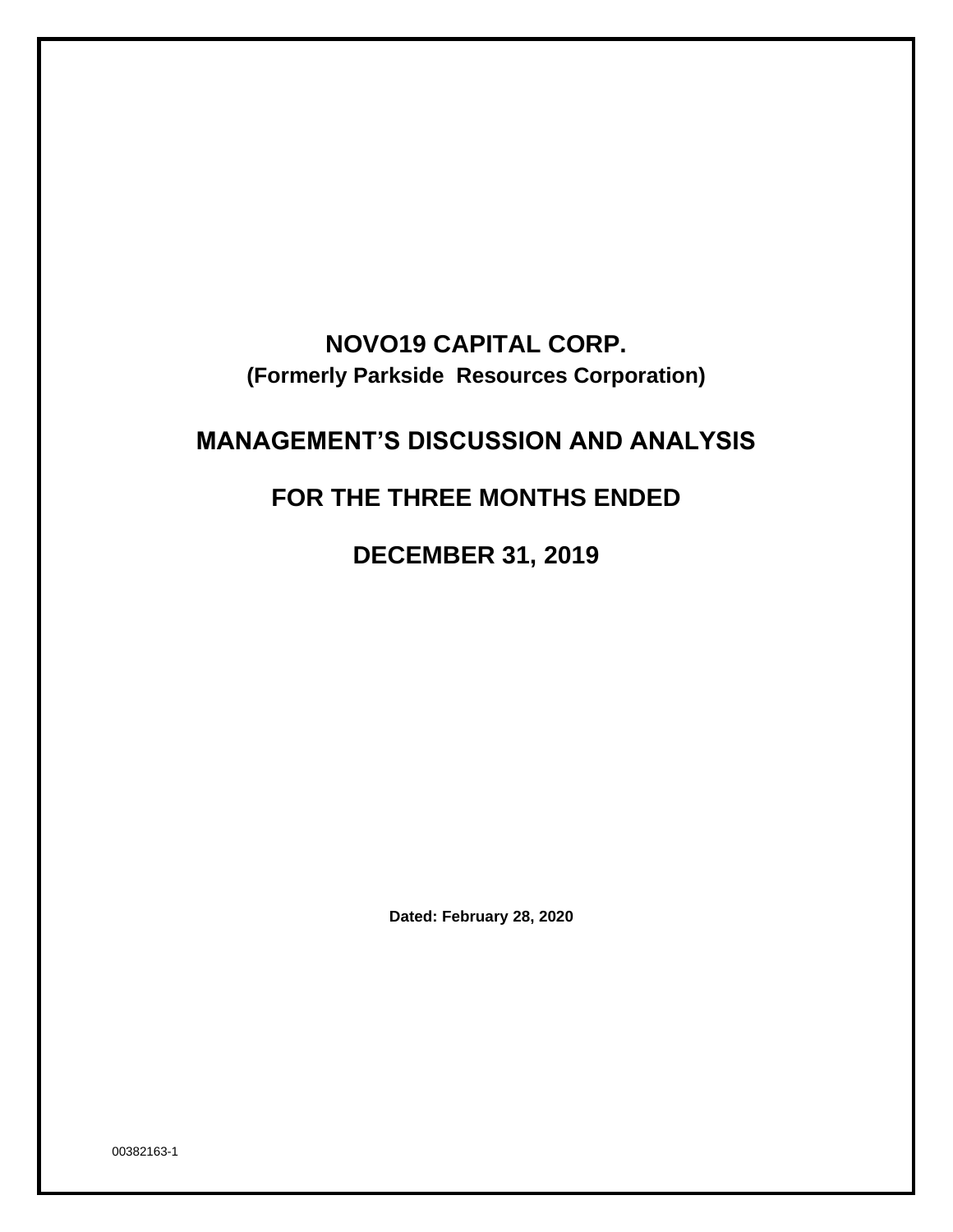# **NOVO19 CAPITAL CORP. (Formerly Parkside Resources Corporation)**

# **MANAGEMENT'S DISCUSSION AND ANALYSIS**

# **FOR THE THREE MONTHS ENDED**

**DECEMBER 31, 2019**

**Dated: February 28, 2020**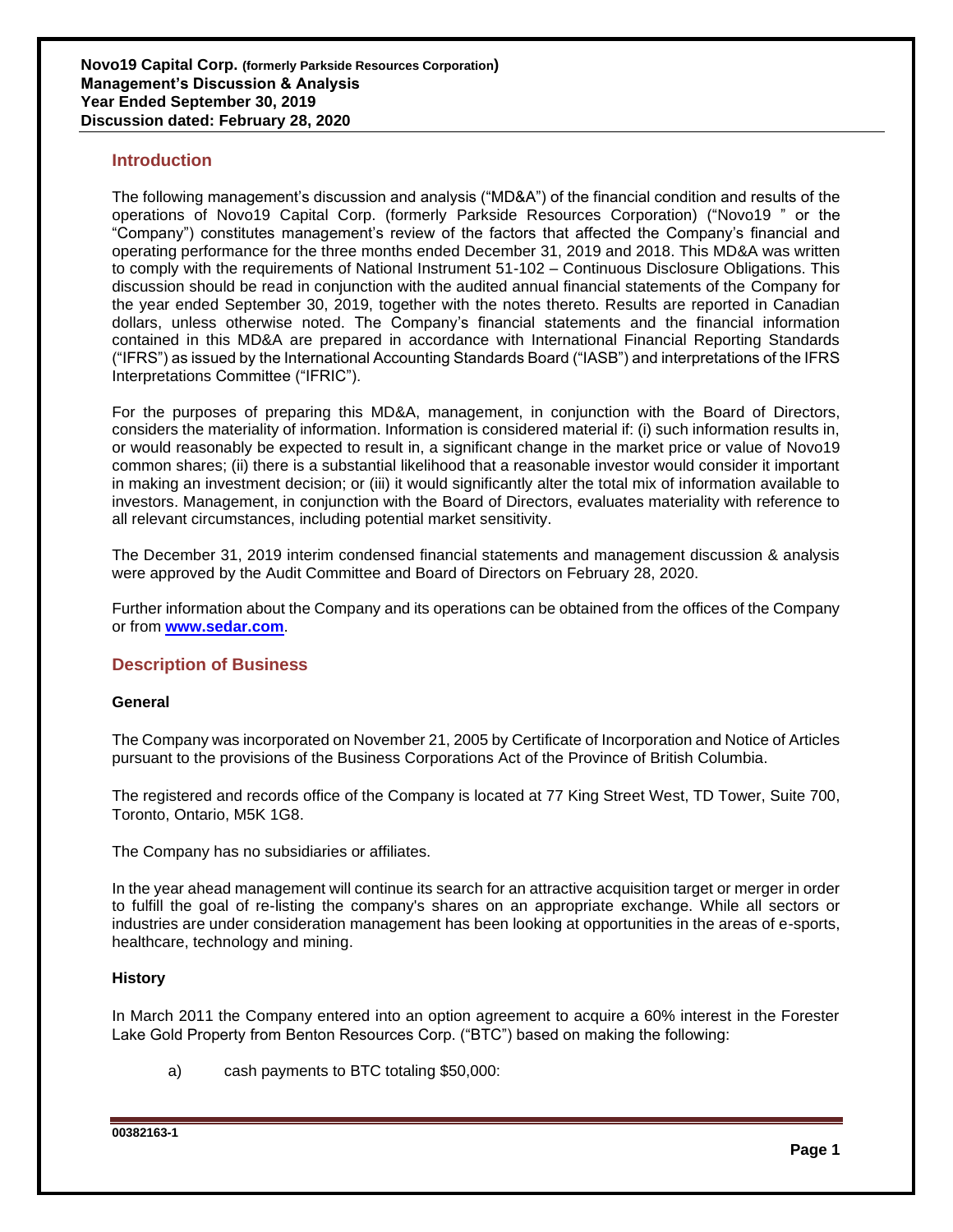## **Introduction**

The following management's discussion and analysis ("MD&A") of the financial condition and results of the operations of Novo19 Capital Corp. (formerly Parkside Resources Corporation) ("Novo19 " or the "Company") constitutes management's review of the factors that affected the Company's financial and operating performance for the three months ended December 31, 2019 and 2018. This MD&A was written to comply with the requirements of National Instrument 51-102 – Continuous Disclosure Obligations. This discussion should be read in conjunction with the audited annual financial statements of the Company for the year ended September 30, 2019, together with the notes thereto. Results are reported in Canadian dollars, unless otherwise noted. The Company's financial statements and the financial information contained in this MD&A are prepared in accordance with International Financial Reporting Standards ("IFRS") as issued by the International Accounting Standards Board ("IASB") and interpretations of the IFRS Interpretations Committee ("IFRIC").

For the purposes of preparing this MD&A, management, in conjunction with the Board of Directors, considers the materiality of information. Information is considered material if: (i) such information results in, or would reasonably be expected to result in, a significant change in the market price or value of Novo19 common shares; (ii) there is a substantial likelihood that a reasonable investor would consider it important in making an investment decision; or (iii) it would significantly alter the total mix of information available to investors. Management, in conjunction with the Board of Directors, evaluates materiality with reference to all relevant circumstances, including potential market sensitivity.

The December 31, 2019 interim condensed financial statements and management discussion & analysis were approved by the Audit Committee and Board of Directors on February 28, 2020.

Further information about the Company and its operations can be obtained from the offices of the Company or from **[www.sedar.com](http://www.sedar.com/)**.

## **Description of Business**

## **General**

The Company was incorporated on November 21, 2005 by Certificate of Incorporation and Notice of Articles pursuant to the provisions of the Business Corporations Act of the Province of British Columbia.

The registered and records office of the Company is located at 77 King Street West, TD Tower, Suite 700, Toronto, Ontario, M5K 1G8.

The Company has no subsidiaries or affiliates.

In the year ahead management will continue its search for an attractive acquisition target or merger in order to fulfill the goal of re-listing the company's shares on an appropriate exchange. While all sectors or industries are under consideration management has been looking at opportunities in the areas of e-sports, healthcare, technology and mining.

## **History**

In March 2011 the Company entered into an option agreement to acquire a 60% interest in the Forester Lake Gold Property from Benton Resources Corp. ("BTC") based on making the following:

a) cash payments to BTC totaling \$50,000: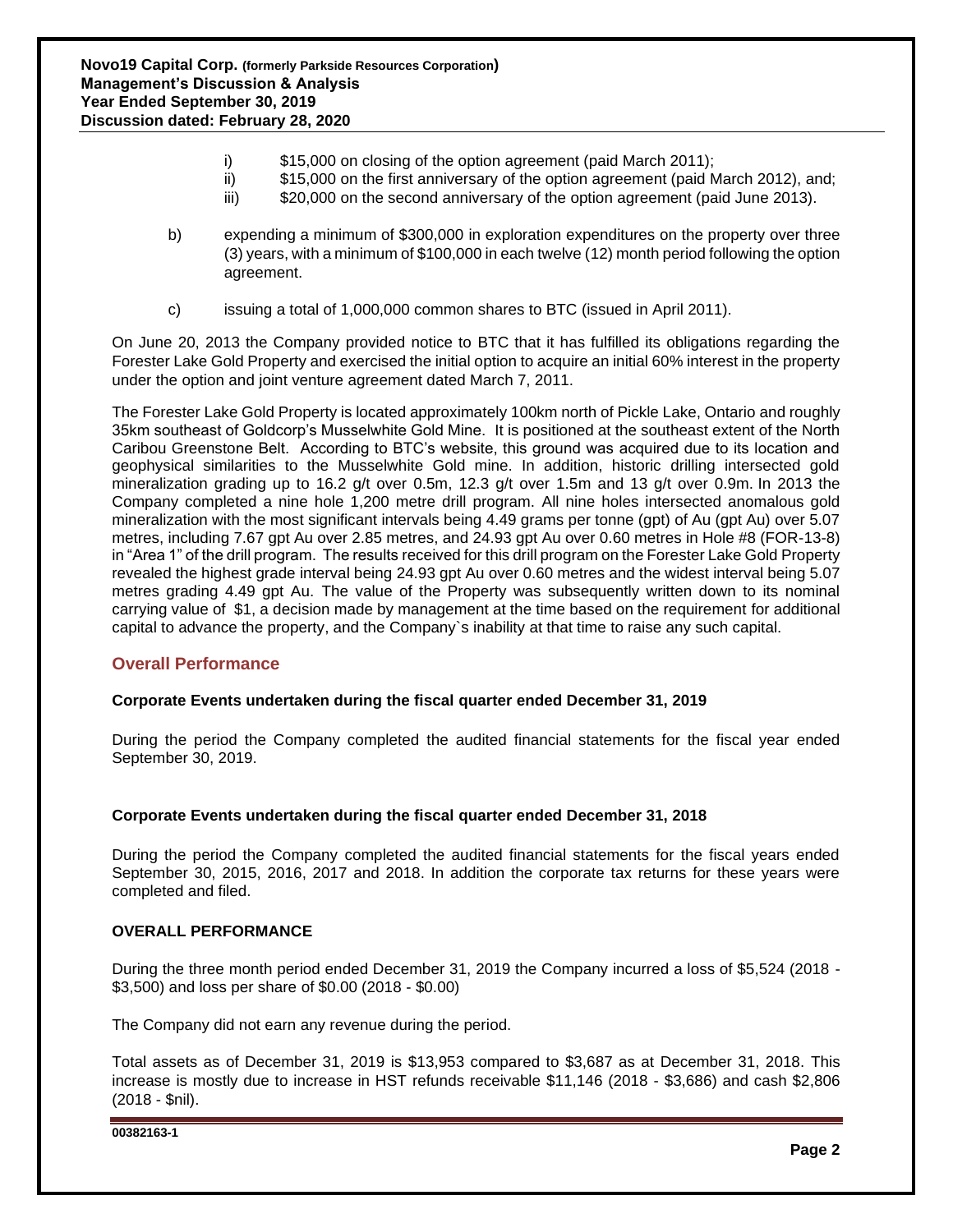- i) \$15,000 on closing of the option agreement (paid March 2011);
- ii) \$15,000 on the first anniversary of the option agreement (paid March 2012), and;
- iii) \$20,000 on the second anniversary of the option agreement (paid June 2013).
- b) expending a minimum of \$300,000 in exploration expenditures on the property over three (3) years, with a minimum of \$100,000 in each twelve (12) month period following the option agreement.
- c) issuing a total of 1,000,000 common shares to BTC (issued in April 2011).

On June 20, 2013 the Company provided notice to BTC that it has fulfilled its obligations regarding the Forester Lake Gold Property and exercised the initial option to acquire an initial 60% interest in the property under the option and joint venture agreement dated March 7, 2011.

The Forester Lake Gold Property is located approximately 100km north of Pickle Lake, Ontario and roughly 35km southeast of Goldcorp's Musselwhite Gold Mine. It is positioned at the southeast extent of the North Caribou Greenstone Belt. According to BTC's website, this ground was acquired due to its location and geophysical similarities to the Musselwhite Gold mine. In addition, historic drilling intersected gold mineralization grading up to 16.2 g/t over 0.5m, 12.3 g/t over 1.5m and 13 g/t over 0.9m. In 2013 the Company completed a nine hole 1,200 metre drill program. All nine holes intersected anomalous gold mineralization with the most significant intervals being 4.49 grams per tonne (gpt) of Au (gpt Au) over 5.07 metres, including 7.67 gpt Au over 2.85 metres, and 24.93 gpt Au over 0.60 metres in Hole #8 (FOR-13-8) in "Area 1" of the drill program. The results received for this drill program on the Forester Lake Gold Property revealed the highest grade interval being 24.93 gpt Au over 0.60 metres and the widest interval being 5.07 metres grading 4.49 gpt Au. The value of the Property was subsequently written down to its nominal carrying value of \$1, a decision made by management at the time based on the requirement for additional capital to advance the property, and the Company`s inability at that time to raise any such capital.

# **Overall Performance**

## **Corporate Events undertaken during the fiscal quarter ended December 31, 2019**

During the period the Company completed the audited financial statements for the fiscal year ended September 30, 2019.

#### **Corporate Events undertaken during the fiscal quarter ended December 31, 2018**

During the period the Company completed the audited financial statements for the fiscal years ended September 30, 2015, 2016, 2017 and 2018. In addition the corporate tax returns for these years were completed and filed.

#### **OVERALL PERFORMANCE**

During the three month period ended December 31, 2019 the Company incurred a loss of \$5,524 (2018 - \$3,500) and loss per share of \$0.00 (2018 - \$0.00)

The Company did not earn any revenue during the period.

Total assets as of December 31, 2019 is \$13,953 compared to \$3,687 as at December 31, 2018. This increase is mostly due to increase in HST refunds receivable \$11,146 (2018 - \$3,686) and cash \$2,806 (2018 - \$nil).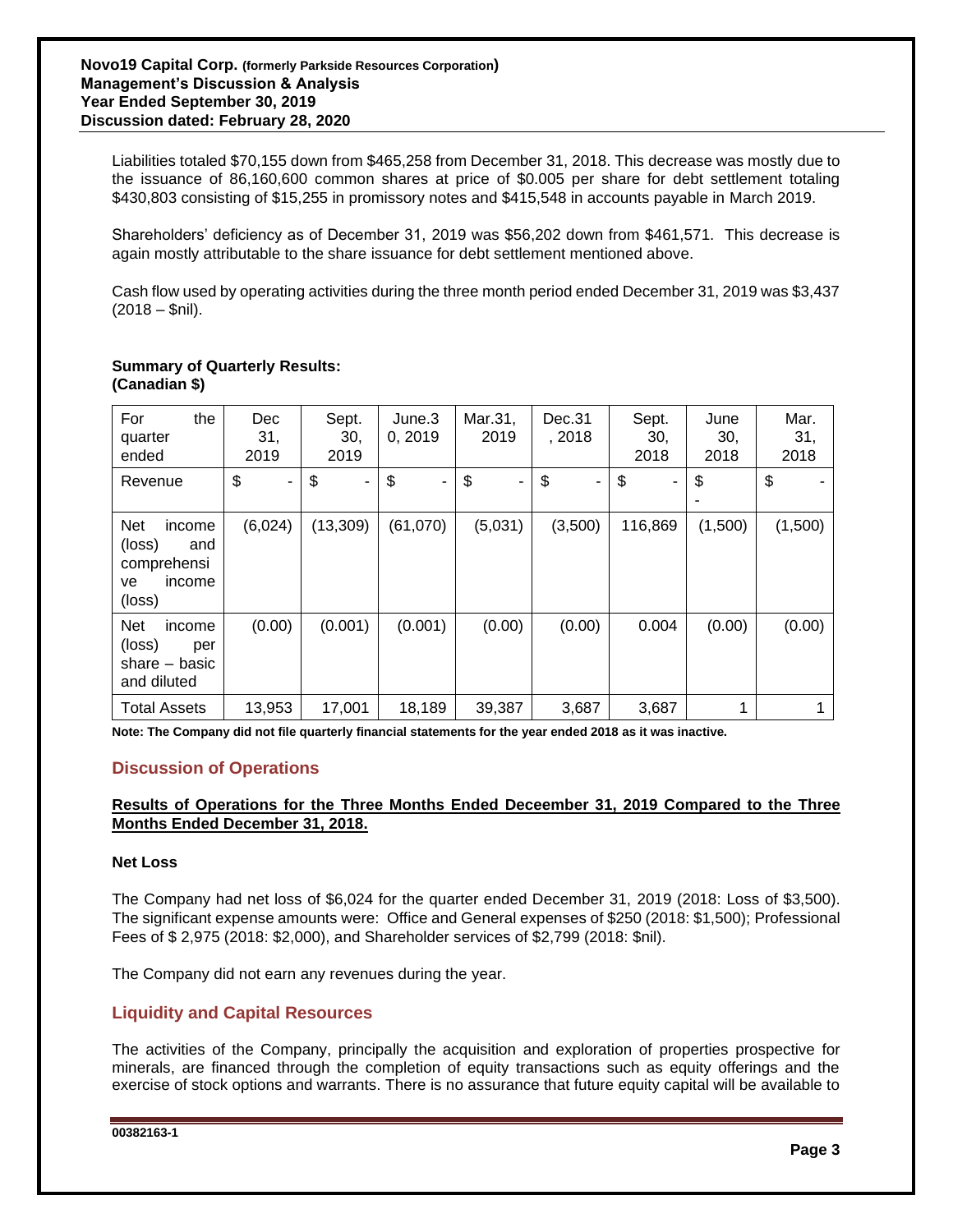Liabilities totaled \$70,155 down from \$465,258 from December 31, 2018. This decrease was mostly due to the issuance of 86,160,600 common shares at price of \$0.005 per share for debt settlement totaling \$430,803 consisting of \$15,255 in promissory notes and \$415,548 in accounts payable in March 2019.

Shareholders' deficiency as of December 31, 2019 was \$56,202 down from \$461,571. This decrease is again mostly attributable to the share issuance for debt settlement mentioned above.

Cash flow used by operating activities during the three month period ended December 31, 2019 was \$3,437 (2018 – \$nil).

### **Summary of Quarterly Results: (Canadian \$)**

| For<br>the<br>quarter<br>ended                                                 | <b>Dec</b><br>31,<br>2019 | Sept.<br>30,<br>2019 | June.3<br>0, 2019    | Mar.31,<br>2019 | Dec.31<br>, 2018 | Sept.<br>30,<br>2018 | June<br>30,<br>2018 | Mar.<br>31,<br>2018 |
|--------------------------------------------------------------------------------|---------------------------|----------------------|----------------------|-----------------|------------------|----------------------|---------------------|---------------------|
| Revenue                                                                        | \$<br>۰                   | \$<br>Ξ.             | \$<br>$\blacksquare$ | \$<br>۰         | \$<br>٠          | \$<br>۰              | \$                  | \$                  |
| <b>Net</b><br>income<br>(loss)<br>and<br>comprehensi<br>income<br>ve<br>(loss) | (6,024)                   | (13, 309)            | (61,070)             | (5,031)         | (3,500)          | 116,869              | (1,500)             | (1,500)             |
| <b>Net</b><br>income<br>(loss)<br>per<br>share $-$ basic<br>and diluted        | (0.00)                    | (0.001)              | (0.001)              | (0.00)          | (0.00)           | 0.004                | (0.00)              | (0.00)              |
| <b>Total Assets</b>                                                            | 13,953                    | 17,001               | 18,189               | 39,387          | 3,687            | 3,687                |                     |                     |

**Note: The Company did not file quarterly financial statements for the year ended 2018 as it was inactive.**

# **Discussion of Operations**

## **Results of Operations for the Three Months Ended Deceember 31, 2019 Compared to the Three Months Ended December 31, 2018.**

## **Net Loss**

The Company had net loss of \$6,024 for the quarter ended December 31, 2019 (2018: Loss of \$3,500). The significant expense amounts were: Office and General expenses of \$250 (2018: \$1,500); Professional Fees of \$ 2,975 (2018: \$2,000), and Shareholder services of \$2,799 (2018: \$nil).

The Company did not earn any revenues during the year.

# **Liquidity and Capital Resources**

The activities of the Company, principally the acquisition and exploration of properties prospective for minerals, are financed through the completion of equity transactions such as equity offerings and the exercise of stock options and warrants. There is no assurance that future equity capital will be available to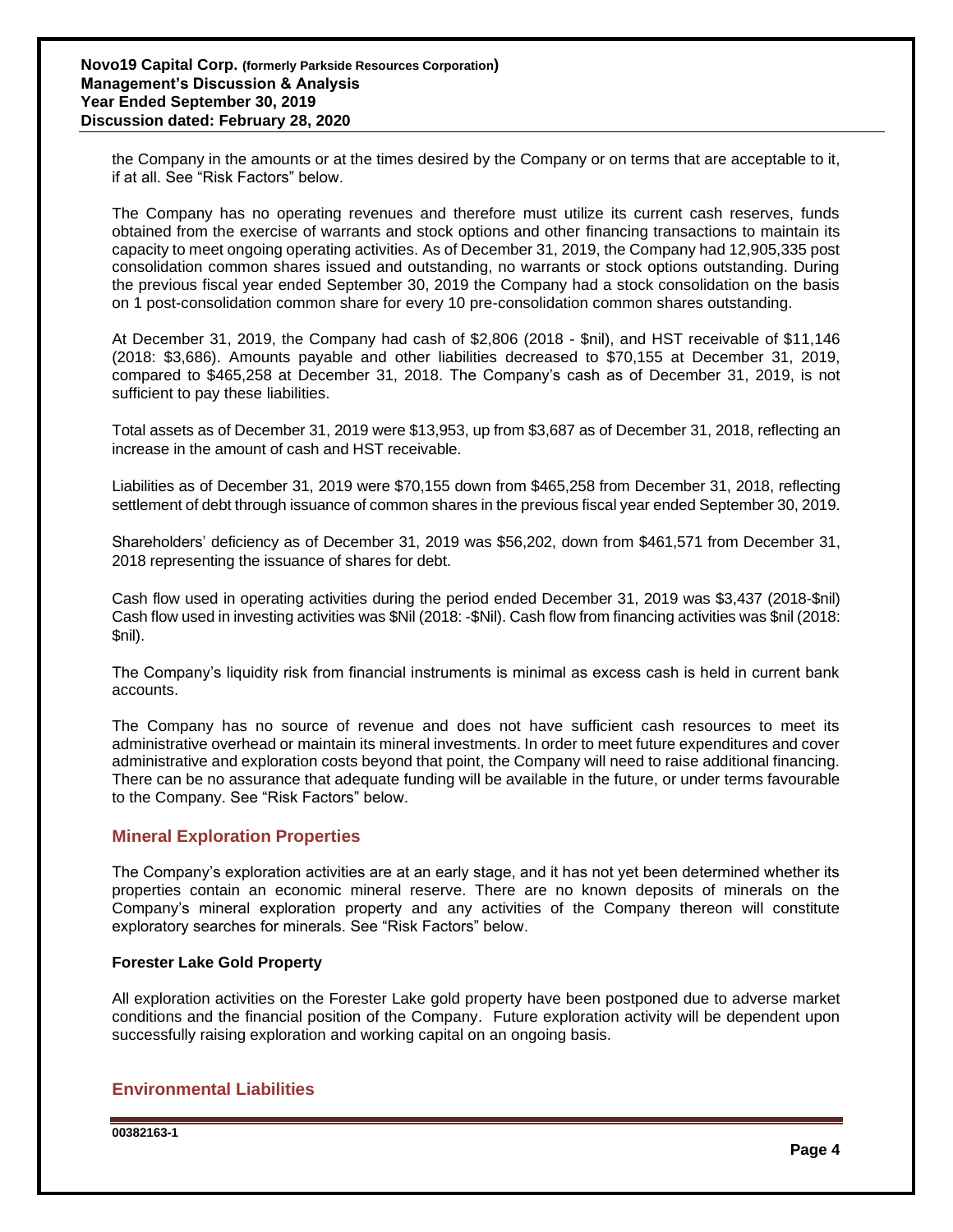the Company in the amounts or at the times desired by the Company or on terms that are acceptable to it, if at all. See "Risk Factors" below.

The Company has no operating revenues and therefore must utilize its current cash reserves, funds obtained from the exercise of warrants and stock options and other financing transactions to maintain its capacity to meet ongoing operating activities. As of December 31, 2019, the Company had 12,905,335 post consolidation common shares issued and outstanding, no warrants or stock options outstanding. During the previous fiscal year ended September 30, 2019 the Company had a stock consolidation on the basis on 1 post-consolidation common share for every 10 pre-consolidation common shares outstanding.

At December 31, 2019, the Company had cash of \$2,806 (2018 - \$nil), and HST receivable of \$11,146 (2018: \$3,686). Amounts payable and other liabilities decreased to \$70,155 at December 31, 2019, compared to \$465,258 at December 31, 2018. The Company's cash as of December 31, 2019, is not sufficient to pay these liabilities.

Total assets as of December 31, 2019 were \$13,953, up from \$3,687 as of December 31, 2018, reflecting an increase in the amount of cash and HST receivable.

Liabilities as of December 31, 2019 were \$70,155 down from \$465,258 from December 31, 2018, reflecting settlement of debt through issuance of common shares in the previous fiscal year ended September 30, 2019.

Shareholders' deficiency as of December 31, 2019 was \$56,202, down from \$461,571 from December 31, 2018 representing the issuance of shares for debt.

Cash flow used in operating activities during the period ended December 31, 2019 was \$3,437 (2018-\$nil) Cash flow used in investing activities was \$Nil (2018: -\$Nil). Cash flow from financing activities was \$nil (2018: \$nil).

The Company's liquidity risk from financial instruments is minimal as excess cash is held in current bank accounts.

The Company has no source of revenue and does not have sufficient cash resources to meet its administrative overhead or maintain its mineral investments. In order to meet future expenditures and cover administrative and exploration costs beyond that point, the Company will need to raise additional financing. There can be no assurance that adequate funding will be available in the future, or under terms favourable to the Company. See "Risk Factors" below.

## **Mineral Exploration Properties**

The Company's exploration activities are at an early stage, and it has not yet been determined whether its properties contain an economic mineral reserve. There are no known deposits of minerals on the Company's mineral exploration property and any activities of the Company thereon will constitute exploratory searches for minerals. See "Risk Factors" below.

## **Forester Lake Gold Property**

All exploration activities on the Forester Lake gold property have been postponed due to adverse market conditions and the financial position of the Company. Future exploration activity will be dependent upon successfully raising exploration and working capital on an ongoing basis.

# **Environmental Liabilities**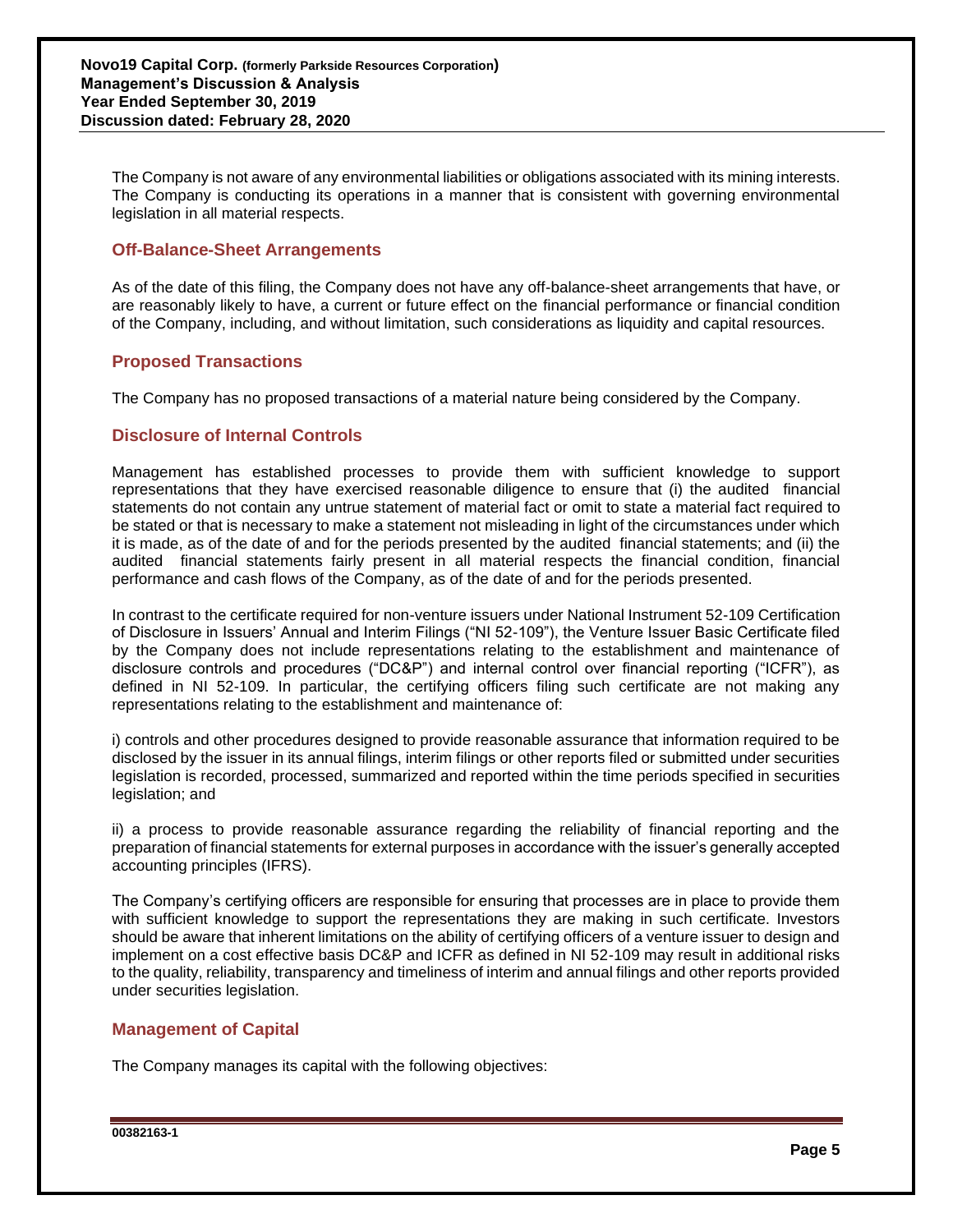The Company is not aware of any environmental liabilities or obligations associated with its mining interests. The Company is conducting its operations in a manner that is consistent with governing environmental legislation in all material respects.

# **Off-Balance-Sheet Arrangements**

As of the date of this filing, the Company does not have any off-balance-sheet arrangements that have, or are reasonably likely to have, a current or future effect on the financial performance or financial condition of the Company, including, and without limitation, such considerations as liquidity and capital resources.

## **Proposed Transactions**

The Company has no proposed transactions of a material nature being considered by the Company.

## **Disclosure of Internal Controls**

Management has established processes to provide them with sufficient knowledge to support representations that they have exercised reasonable diligence to ensure that (i) the audited financial statements do not contain any untrue statement of material fact or omit to state a material fact required to be stated or that is necessary to make a statement not misleading in light of the circumstances under which it is made, as of the date of and for the periods presented by the audited financial statements; and (ii) the audited financial statements fairly present in all material respects the financial condition, financial performance and cash flows of the Company, as of the date of and for the periods presented.

In contrast to the certificate required for non-venture issuers under National Instrument 52-109 Certification of Disclosure in Issuers' Annual and Interim Filings ("NI 52-109"), the Venture Issuer Basic Certificate filed by the Company does not include representations relating to the establishment and maintenance of disclosure controls and procedures ("DC&P") and internal control over financial reporting ("ICFR"), as defined in NI 52-109. In particular, the certifying officers filing such certificate are not making any representations relating to the establishment and maintenance of:

i) controls and other procedures designed to provide reasonable assurance that information required to be disclosed by the issuer in its annual filings, interim filings or other reports filed or submitted under securities legislation is recorded, processed, summarized and reported within the time periods specified in securities legislation; and

ii) a process to provide reasonable assurance regarding the reliability of financial reporting and the preparation of financial statements for external purposes in accordance with the issuer's generally accepted accounting principles (IFRS).

The Company's certifying officers are responsible for ensuring that processes are in place to provide them with sufficient knowledge to support the representations they are making in such certificate. Investors should be aware that inherent limitations on the ability of certifying officers of a venture issuer to design and implement on a cost effective basis DC&P and ICFR as defined in NI 52-109 may result in additional risks to the quality, reliability, transparency and timeliness of interim and annual filings and other reports provided under securities legislation.

## **Management of Capital**

The Company manages its capital with the following objectives: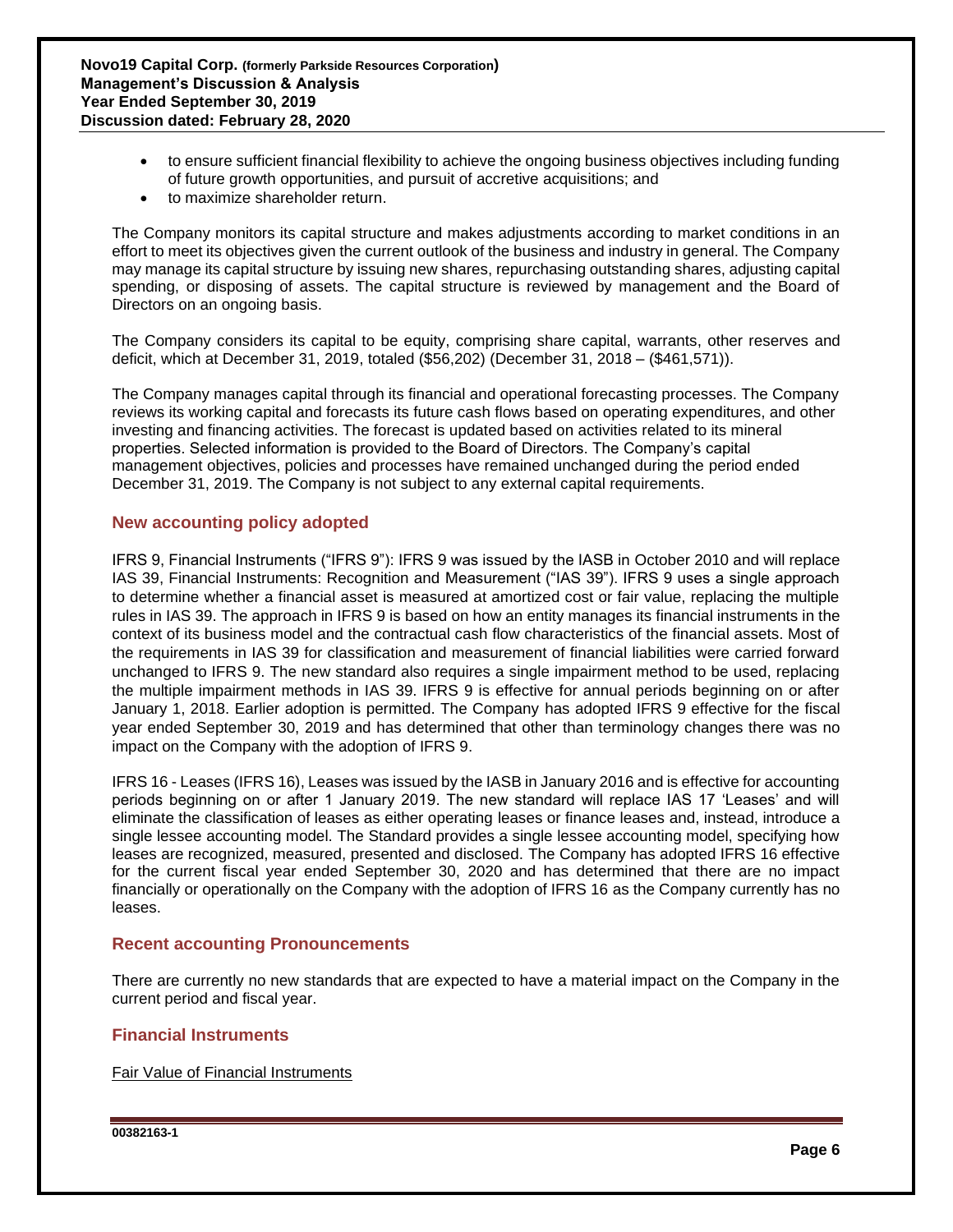- to ensure sufficient financial flexibility to achieve the ongoing business objectives including funding of future growth opportunities, and pursuit of accretive acquisitions; and
- to maximize shareholder return.

The Company monitors its capital structure and makes adjustments according to market conditions in an effort to meet its objectives given the current outlook of the business and industry in general. The Company may manage its capital structure by issuing new shares, repurchasing outstanding shares, adjusting capital spending, or disposing of assets. The capital structure is reviewed by management and the Board of Directors on an ongoing basis.

The Company considers its capital to be equity, comprising share capital, warrants, other reserves and deficit, which at December 31, 2019, totaled (\$56,202) (December 31, 2018 – (\$461,571)).

The Company manages capital through its financial and operational forecasting processes. The Company reviews its working capital and forecasts its future cash flows based on operating expenditures, and other investing and financing activities. The forecast is updated based on activities related to its mineral properties. Selected information is provided to the Board of Directors. The Company's capital management objectives, policies and processes have remained unchanged during the period ended December 31, 2019. The Company is not subject to any external capital requirements.

# **New accounting policy adopted**

IFRS 9, Financial Instruments ("IFRS 9"): IFRS 9 was issued by the IASB in October 2010 and will replace IAS 39, Financial Instruments: Recognition and Measurement ("IAS 39"). IFRS 9 uses a single approach to determine whether a financial asset is measured at amortized cost or fair value, replacing the multiple rules in IAS 39. The approach in IFRS 9 is based on how an entity manages its financial instruments in the context of its business model and the contractual cash flow characteristics of the financial assets. Most of the requirements in IAS 39 for classification and measurement of financial liabilities were carried forward unchanged to IFRS 9. The new standard also requires a single impairment method to be used, replacing the multiple impairment methods in IAS 39. IFRS 9 is effective for annual periods beginning on or after January 1, 2018. Earlier adoption is permitted. The Company has adopted IFRS 9 effective for the fiscal year ended September 30, 2019 and has determined that other than terminology changes there was no impact on the Company with the adoption of IFRS 9.

IFRS 16 - Leases (IFRS 16), Leases was issued by the IASB in January 2016 and is effective for accounting periods beginning on or after 1 January 2019. The new standard will replace IAS 17 'Leases' and will eliminate the classification of leases as either operating leases or finance leases and, instead, introduce a single lessee accounting model. The Standard provides a single lessee accounting model, specifying how leases are recognized, measured, presented and disclosed. The Company has adopted IFRS 16 effective for the current fiscal year ended September 30, 2020 and has determined that there are no impact financially or operationally on the Company with the adoption of IFRS 16 as the Company currently has no leases.

## **Recent accounting Pronouncements**

There are currently no new standards that are expected to have a material impact on the Company in the current period and fiscal year.

## **Financial Instruments**

Fair Value of Financial Instruments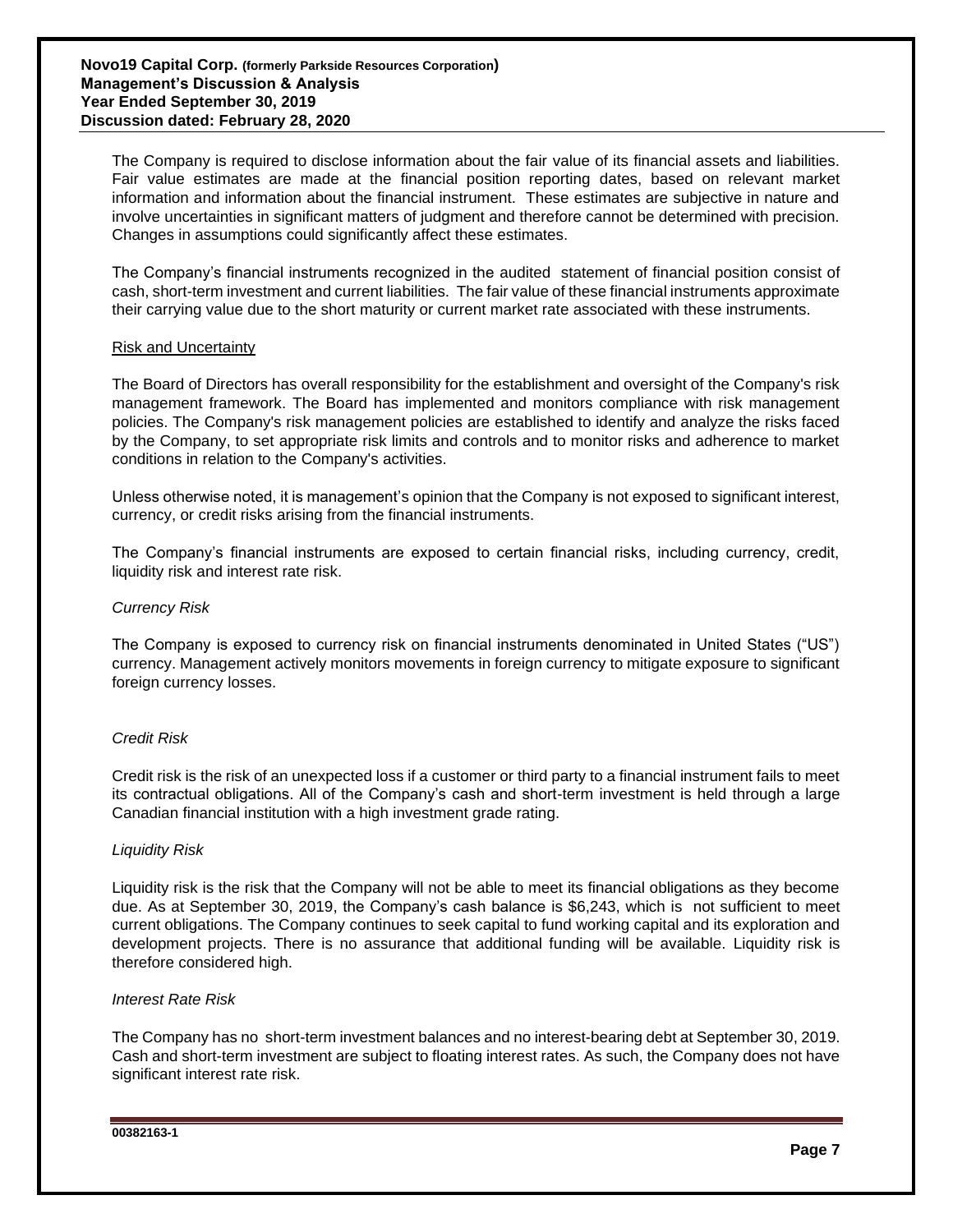The Company is required to disclose information about the fair value of its financial assets and liabilities. Fair value estimates are made at the financial position reporting dates, based on relevant market information and information about the financial instrument. These estimates are subjective in nature and involve uncertainties in significant matters of judgment and therefore cannot be determined with precision. Changes in assumptions could significantly affect these estimates.

The Company's financial instruments recognized in the audited statement of financial position consist of cash, short-term investment and current liabilities. The fair value of these financial instruments approximate their carrying value due to the short maturity or current market rate associated with these instruments.

#### Risk and Uncertainty

The Board of Directors has overall responsibility for the establishment and oversight of the Company's risk management framework. The Board has implemented and monitors compliance with risk management policies. The Company's risk management policies are established to identify and analyze the risks faced by the Company, to set appropriate risk limits and controls and to monitor risks and adherence to market conditions in relation to the Company's activities.

Unless otherwise noted, it is management's opinion that the Company is not exposed to significant interest, currency, or credit risks arising from the financial instruments.

The Company's financial instruments are exposed to certain financial risks, including currency, credit, liquidity risk and interest rate risk.

## *Currency Risk*

The Company is exposed to currency risk on financial instruments denominated in United States ("US") currency. Management actively monitors movements in foreign currency to mitigate exposure to significant foreign currency losses.

## *Credit Risk*

Credit risk is the risk of an unexpected loss if a customer or third party to a financial instrument fails to meet its contractual obligations. All of the Company's cash and short-term investment is held through a large Canadian financial institution with a high investment grade rating.

#### *Liquidity Risk*

Liquidity risk is the risk that the Company will not be able to meet its financial obligations as they become due. As at September 30, 2019, the Company's cash balance is \$6,243, which is not sufficient to meet current obligations. The Company continues to seek capital to fund working capital and its exploration and development projects. There is no assurance that additional funding will be available. Liquidity risk is therefore considered high.

#### *Interest Rate Risk*

The Company has no short-term investment balances and no interest-bearing debt at September 30, 2019. Cash and short-term investment are subject to floating interest rates. As such, the Company does not have significant interest rate risk.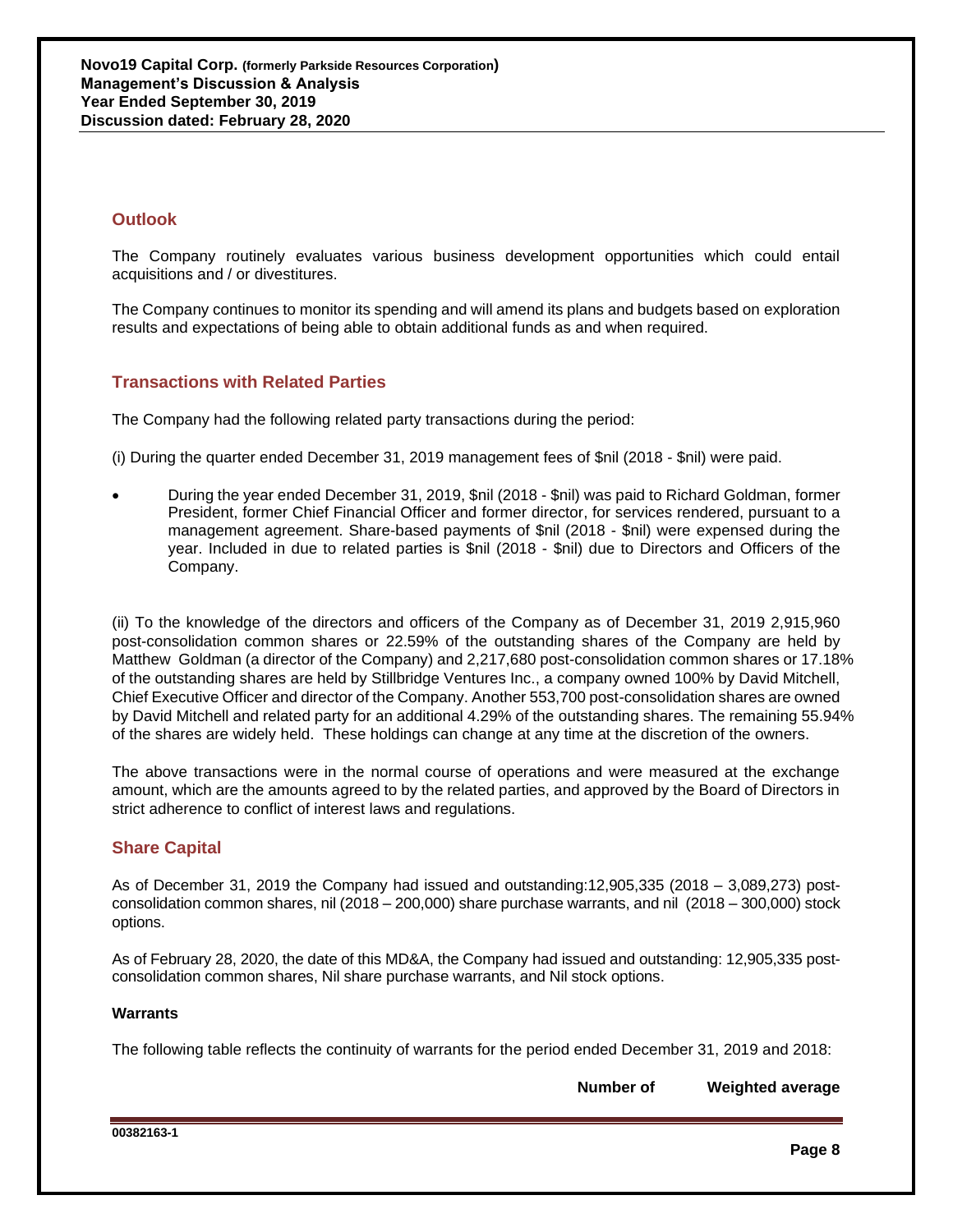# **Outlook**

The Company routinely evaluates various business development opportunities which could entail acquisitions and / or divestitures.

The Company continues to monitor its spending and will amend its plans and budgets based on exploration results and expectations of being able to obtain additional funds as and when required.

# **Transactions with Related Parties**

The Company had the following related party transactions during the period:

(i) During the quarter ended December 31, 2019 management fees of \$nil (2018 - \$nil) were paid.

• During the year ended December 31, 2019, \$nil (2018 - \$nil) was paid to Richard Goldman, former President, former Chief Financial Officer and former director, for services rendered, pursuant to a management agreement. Share-based payments of \$nil (2018 - \$nil) were expensed during the year. Included in due to related parties is \$nil (2018 - \$nil) due to Directors and Officers of the Company.

(ii) To the knowledge of the directors and officers of the Company as of December 31, 2019 2,915,960 post-consolidation common shares or 22.59% of the outstanding shares of the Company are held by Matthew Goldman (a director of the Company) and 2,217,680 post-consolidation common shares or 17.18% of the outstanding shares are held by Stillbridge Ventures Inc., a company owned 100% by David Mitchell, Chief Executive Officer and director of the Company. Another 553,700 post-consolidation shares are owned by David Mitchell and related party for an additional 4.29% of the outstanding shares. The remaining 55.94% of the shares are widely held. These holdings can change at any time at the discretion of the owners.

The above transactions were in the normal course of operations and were measured at the exchange amount, which are the amounts agreed to by the related parties, and approved by the Board of Directors in strict adherence to conflict of interest laws and regulations.

# **Share Capital**

As of December 31, 2019 the Company had issued and outstanding:12,905,335 (2018 – 3,089,273) postconsolidation common shares, nil (2018 – 200,000) share purchase warrants, and nil (2018 – 300,000) stock options.

As of February 28, 2020, the date of this MD&A, the Company had issued and outstanding: 12,905,335 postconsolidation common shares, Nil share purchase warrants, and Nil stock options.

## **Warrants**

The following table reflects the continuity of warrants for the period ended December 31, 2019 and 2018:

**Number of Weighted average**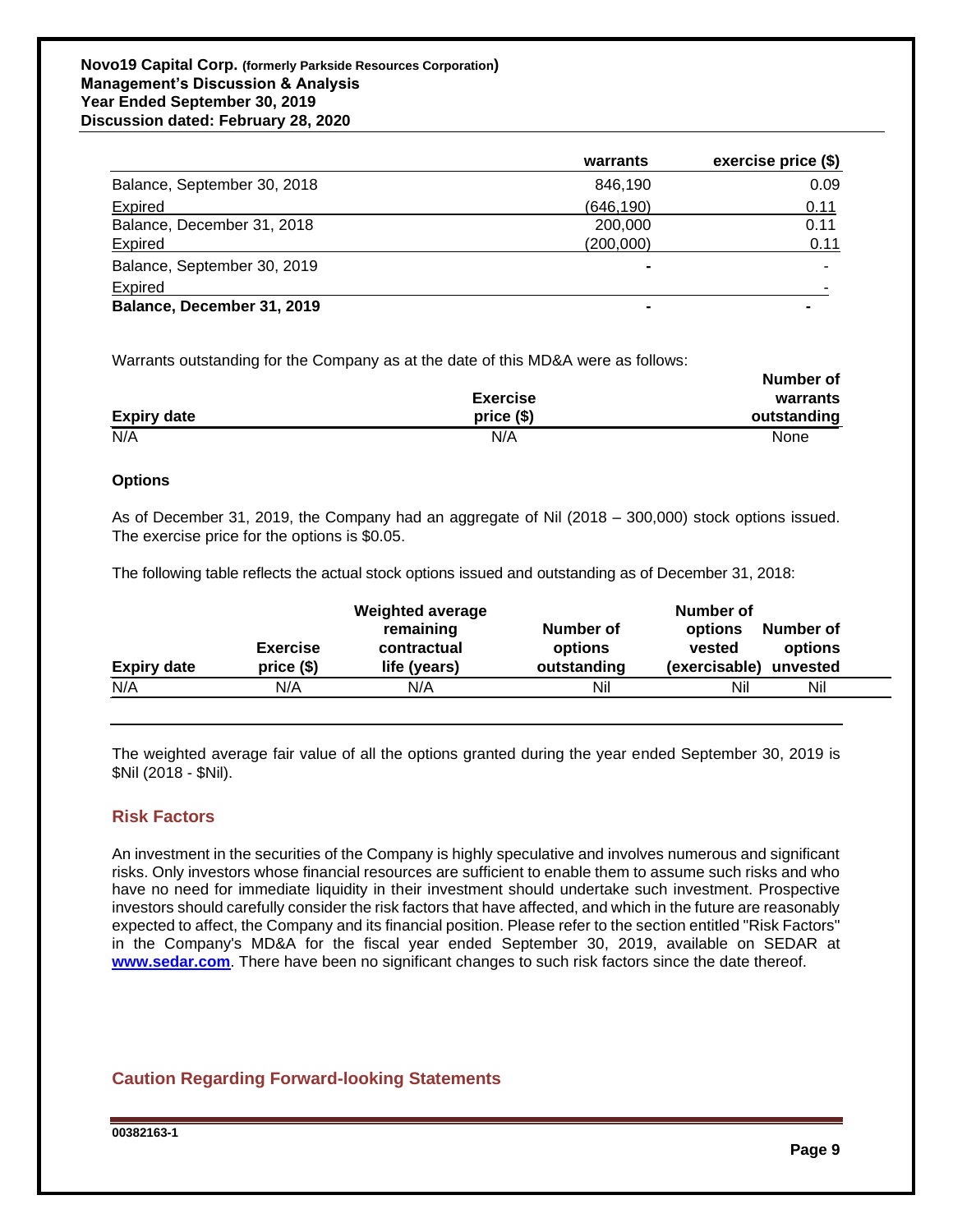## **Novo19 Capital Corp. (formerly Parkside Resources Corporation) Management's Discussion & Analysis Year Ended September 30, 2019 Discussion dated: February 28, 2020**

|                             | warrants   | exercise price (\$) |
|-----------------------------|------------|---------------------|
| Balance, September 30, 2018 | 846.190    | 0.09                |
| Expired                     | (646, 190) | 0.11                |
| Balance, December 31, 2018  | 200,000    | 0.11                |
| Expired                     | (200,000)  | 0.11                |
| Balance, September 30, 2019 |            |                     |
| <b>Expired</b>              |            |                     |
| Balance, December 31, 2019  |            |                     |

Warrants outstanding for the Company as at the date of this MD&A were as follows:

|                    | <b>Exercise</b> | warrants    |
|--------------------|-----------------|-------------|
| <b>Expiry date</b> | $price($)$      | outstanding |
| N/A                | N/A             | None        |

### **Options**

As of December 31, 2019, the Company had an aggregate of Nil (2018 – 300,000) stock options issued. The exercise price for the options is \$0.05.

The following table reflects the actual stock options issued and outstanding as of December 31, 2018:

|                    | <b>Exercise</b> | <b>Weighted average</b><br>remaining<br>contractual | Number of<br>options | Number of<br>Number of<br>options<br>vested<br>options |
|--------------------|-----------------|-----------------------------------------------------|----------------------|--------------------------------------------------------|
| <b>Expiry date</b> | $price($)$      | life (years)                                        | outstanding          | (exercisable)<br>unvested                              |
| N/A                | N/A             | N/A                                                 | Nil                  | Nil<br>Nil                                             |
|                    |                 |                                                     |                      |                                                        |

The weighted average fair value of all the options granted during the year ended September 30, 2019 is \$Nil (2018 - \$Nil).

## **Risk Factors**

**\_\_**

An investment in the securities of the Company is highly speculative and involves numerous and significant risks. Only investors whose financial resources are sufficient to enable them to assume such risks and who have no need for immediate liquidity in their investment should undertake such investment. Prospective investors should carefully consider the risk factors that have affected, and which in the future are reasonably expected to affect, the Company and its financial position. Please refer to the section entitled "Risk Factors" in the Company's MD&A for the fiscal year ended September 30, 2019, available on SEDAR at **[www.sedar.com](http://www.sedar.com/)**. There have been no significant changes to such risk factors since the date thereof.

# **Caution Regarding Forward-looking Statements**

**00382163-1**

**Number of**